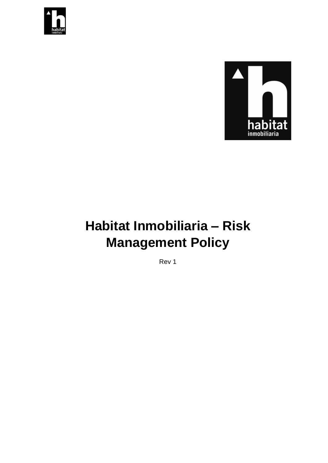



# **Habitat Inmobiliaria – Risk Management Policy**

Rev 1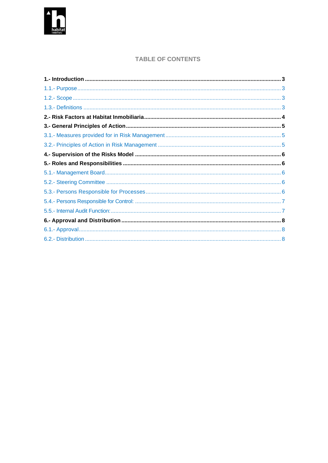

### **TABLE OF CONTENTS**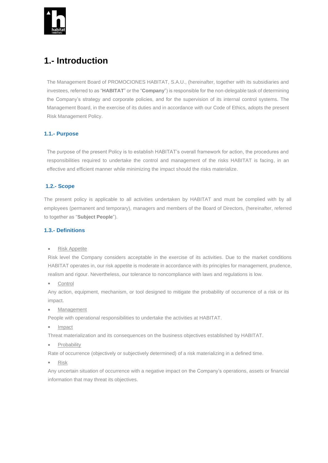

# <span id="page-2-0"></span>**1.- Introduction**

The Management Board of PROMOCIONES HABITAT, S.A.U., (hereinafter, together with its subsidiaries and investees, referred to as "**HABITAT**" or the "**Company**") is responsible for the non-delegable task of determining the Company's strategy and corporate policies, and for the supervision of its internal control systems. The Management Board, in the exercise of its duties and in accordance with our Code of Ethics, adopts the present Risk Management Policy.

#### <span id="page-2-1"></span>**1.1.- Purpose**

The purpose of the present Policy is to establish HABITAT's overall framework for action, the procedures and responsibilities required to undertake the control and management of the risks HABITAT is facing, in an effective and efficient manner while minimizing the impact should the risks materialize.

#### <span id="page-2-2"></span>**1.2.- Scope**

The present policy is applicable to all activities undertaken by HABITAT and must be complied with by all employees (permanent and temporary), managers and members of the Board of Directors, (hereinafter, referred to together as "**Subject People**").

#### <span id="page-2-3"></span>**1.3.- Definitions**

**Risk Appetite** 

Risk level the Company considers acceptable in the exercise of its activities. Due to the market conditions HABITAT operates in, our risk appetite is moderate in accordance with its principles for management, prudence, realism and rigour. Nevertheless, our tolerance to noncompliance with laws and regulations is low.

• Control

Any action, equipment, mechanism, or tool designed to mitigate the probability of occurrence of a risk or its impact.

• Management

People with operational responsibilities to undertake the activities at HABITAT.

• Impact

Threat materialization and its consequences on the business objectives established by HABITAT.

• Probability

Rate of occurrence (objectively or subjectively determined) of a risk materializing in a defined time.

• Risk

Any uncertain situation of occurrence with a negative impact on the Company's operations, assets or financial information that may threat its objectives.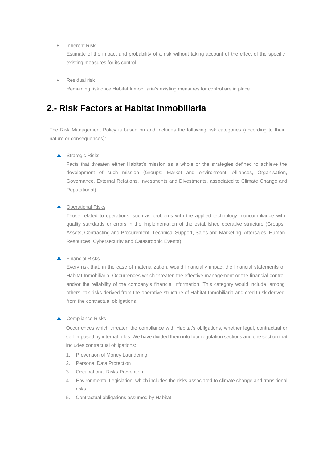#### • Inherent Risk

Estimate of the impact and probability of a risk without taking account of the effect of the specific existing measures for its control.

• Residual risk

Remaining risk once Habitat Inmobiliaria's existing measures for control are in place.

### <span id="page-3-0"></span>**2.- Risk Factors at Habitat Inmobiliaria**

The Risk Management Policy is based on and includes the following risk categories (according to their nature or consequences):

#### ▲ Strategic Risks

Facts that threaten either Habitat's mission as a whole or the strategies defined to achieve the development of such mission (Groups: Market and environment, Alliances, Organisation, Governance, External Relations, Investments and Divestments, associated to Climate Change and Reputational).

#### ▲ Operational Risks

Those related to operations, such as problems with the applied technology, noncompliance with quality standards or errors in the implementation of the established operative structure (Groups: Assets, Contracting and Procurement, Technical Support, Sales and Marketing, Aftersales, Human Resources, Cybersecurity and Catastrophic Events).

#### ▲ Financial Risks

Every risk that, in the case of materialization, would financially impact the financial statements of Habitat Inmobiliaria. Occurrences which threaten the effective management or the financial control and/or the reliability of the company's financial information. This category would include, among others, tax risks derived from the operative structure of Habitat Inmobiliaria and credit risk derived from the contractual obligations.

#### ▲ Compliance Risks

Occurrences which threaten the compliance with Habitat's obligations, whether legal, contractual or self-imposed by internal rules. We have divided them into four regulation sections and one section that includes contractual obligations:

- 1. Prevention of Money Laundering
- 2. Personal Data Protection
- 3. Occupational Risks Prevention
- 4. Environmental Legislation, which includes the risks associated to climate change and transitional risks.
- 5. Contractual obligations assumed by Habitat.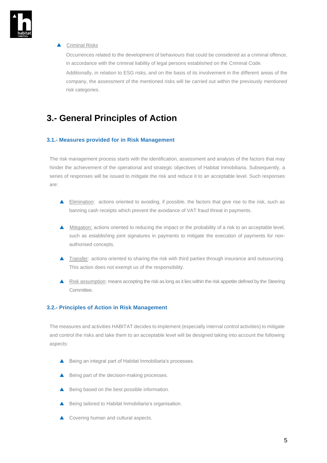

#### ▲ Criminal Risks

Occurrences related to the development of behaviours that could be considered as a criminal offence, in accordance with the criminal liability of legal persons established on the Criminal Code.

Additionally, in relation to ESG risks, and on the basis of its involvement in the different areas of the company, the assessment of the mentioned risks will be carried out within the previously mentioned risk categories.

# <span id="page-4-0"></span>**3.- General Principles of Action**

#### <span id="page-4-1"></span>**3.1.- Measures provided for in Risk Management**

The risk management process starts with the identification, assessment and analysis of the factors that may hinder the achievement of the operational and strategic objectives of Habitat Inmobiliaria. Subsequently, a series of responses will be issued to mitigate the risk and reduce it to an acceptable level. Such responses are:

- Elimination: actions oriented to avoiding, if possible, the factors that give rise to the risk, such as banning cash receipts which prevent the avoidance of VAT fraud threat in payments.
- Mitigation: actions oriented to reducing the impact or the probability of a risk to an acceptable level, such as establishing joint signatures in payments to mitigate the execution of payments for nonauthorised concepts.
- **Transfer:** actions oriented to sharing the risk with third parties through insurance and outsourcing. This action does not exempt us of the responsibility.
- A Risk assumption: means accepting the risk as long as it lies within the risk appetite defined by the Steering Committee.

#### <span id="page-4-2"></span>**3.2.- Principles of Action in Risk Management**

The measures and activities HABITAT decides to implement (especially internal control activities) to mitigate and control the risks and take them to an acceptable level will be designed taking into account the following aspects:

- ▲ Being an integral part of Habitat Inmobiliaria's processes.
- ▲ Being part of the decision-making processes.
- ▲ Being based on the best possible information.
- ▲ Being tailored to Habitat Inmobiliaria's organisation.
- Covering human and cultural aspects.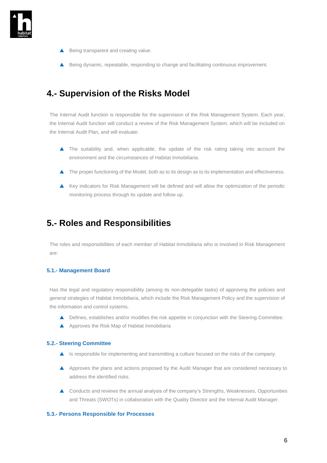

- Being transparent and creating value.
- ▲ Being dynamic, repeatable, responding to change and facilitating continuous improvement.

## <span id="page-5-0"></span>**4.- Supervision of the Risks Model**

The Internal Audit function is responsible for the supervision of the Risk Management System. Each year, the Internal Audit function will conduct a review of the Risk Management System, which will be included on the Internal Audit Plan, and will evaluate:

- The suitability and, when applicable, the update of the risk rating taking into account the environment and the circumstances of Habitat Inmobiliaria.
- The proper functioning of the Model, both as to its design as to its implementation and effectiveness.
- Key indicators for Risk Management will be defined and will allow the optimization of the periodic monitoring process through its update and follow up.

## <span id="page-5-1"></span>**5.- Roles and Responsibilities**

The roles and responsibilities of each member of Habitat Inmobiliaria who is involved in Risk Management are:

#### <span id="page-5-2"></span>**5.1.- Management Board**

Has the legal and regulatory responsibility (among its non-delegable tasks) of approving the policies and general strategies of Habitat Inmobiliaria, which include the Risk Management Policy and the supervision of the information and control systems.

- ▲ Defines, establishes and/or modifies the risk appetite in conjunction with the Steering Committee.
- A Approves the Risk Map of Habitat Inmobiliaria

#### <span id="page-5-3"></span>**5.2.- Steering Committee**

- $\blacktriangle$  Is responsible for implementing and transmitting a culture focused on the risks of the company.
- A Approves the plans and actions proposed by the Audit Manager that are considered necessary to address the identified risks.
- Conducts and reviews the annual analysis of the company's Strengths, Weaknesses, Opportunities and Threats (SWOTs) in collaboration with the Quality Director and the Internal Audit Manager.

#### <span id="page-5-4"></span>**5.3.- Persons Responsible for Processes**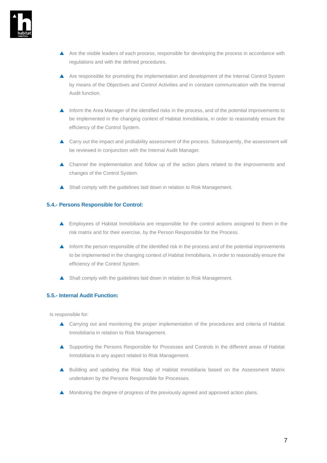

- A Are the visible leaders of each process, responsible for developing the process in accordance with regulations and with the defined procedures.
- A Are responsible for promoting the implementation and development of the Internal Control System by means of the Objectives and Control Activities and in constant communication with the Internal Audit function.
- **Inform the Area Manager of the identified risks in the process, and of the potential improvements to** be implemented in the changing context of Habitat Inmobiliaria, in order to reasonably ensure the efficiency of the Control System.
- ▲ Carry out the impact and probability assessment of the process. Subsequently, the assessment will be reviewed in conjunction with the Internal Audit Manager.
- Channel the implementation and follow up of the action plans related to the improvements and changes of the Control System.
- ▲ Shall comply with the guidelines laid down in relation to Risk Management.

#### <span id="page-6-0"></span>**5.4.- Persons Responsible for Control:**

- **A** Employees of Habitat Inmobiliaria are responsible for the control actions assigned to them in the risk matrix and for their exercise, by the Person Responsible for the Process.
- Inform the person responsible of the identified risk in the process and of the potential improvements to be implemented in the changing context of Habitat Inmobiliaria, in order to reasonably ensure the efficiency of the Control System.
- Shall comply with the quidelines laid down in relation to Risk Management.

#### <span id="page-6-1"></span>**5.5.- Internal Audit Function:**

Is responsible for:

- Carrying out and monitoring the proper implementation of the procedures and criteria of Habitat Inmobiliaria in relation to Risk Management.
- Supporting the Persons Responsible for Processes and Controls in the different areas of Habitat Inmobiliaria in any aspect related to Risk Management.
- Building and updating the Risk Map of Habitat Inmobiliaria based on the Assessment Matrix undertaken by the Persons Responsible for Processes.
- **A** Monitoring the degree of progress of the previously agreed and approved action plans.